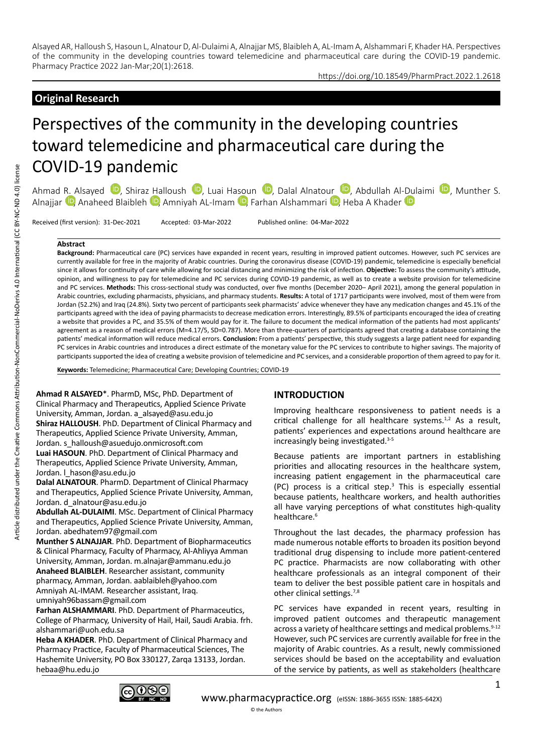### https://doi.org/10.18549/PharmPract.2022.1.2618

# **Original Research**

# Perspectives of the community in the developing countries toward telemedicine and pharmaceutical care during the COVID-19 pandemic

Ahmad R. Alsayed <sup>in</sup>[,](https://orcid.org/0000-0002-1324-7884) Shiraz Halloush <sup>in</sup>[,](https://orcid.org/0000-0003-3216-1995) Luai Hasoun <sup>in</sup>, Dalal Alnatour <sup>in</sup>, Abdullah Al[-Dul](https://orcid.org/0000-0003-3309-8123)aimi <sup>in</sup>, Munther S. Alnajjar <sup>(D</sup>, Anaheed Blaibleh <sup>(D</sup>, Amniyah AL-Imam <sup>(D</sup>, Farhan Alshammari <sup>(D</sup>), Heba A Khader <sup>(D</sup>)

Received (first version): 31-Dec-2021 Accepted: 03-Mar-2022 Published online: 04-Mar-2022

#### **Abstract**

**Background:** Pharmaceutical care (PC) services have expanded in recent years, resulting in improved patient outcomes. However, such PC services are currently available for free in the majority of Arabic countries. During the coronavirus disease (COVID-19) pandemic, telemedicine is especially beneficial since it allows for continuity of care while allowing for social distancing and minimizing the risk of infection. **Objective:** To assess the community's attitude, opinion, and willingness to pay for telemedicine and PC services during COVID-19 pandemic, as well as to create a website provision for telemedicine and PC services. **Methods:** This cross-sectional study was conducted, over five months (December 2020– April 2021), among the general population in Arabic countries, excluding pharmacists, physicians, and pharmacy students. **Results:** A total of 1717 participants were involved, most of them were from Jordan (52.2%) and Iraq (24.8%). Sixty two percent of participants seek pharmacists' advice whenever they have any medication changes and 45.1% of the participants agreed with the idea of paying pharmacists to decrease medication errors. Interestingly, 89.5% of participants encouraged the idea of creating a website that provides a PC, and 35.5% of them would pay for it. The failure to document the medical information of the patients had most applicants' agreement as a reason of medical errors (M=4.17/5, SD=0.787). More than three-quarters of participants agreed that creating a database containing the patients' medical information will reduce medical errors. **Conclusion:** From a patients' perspective, this study suggests a large patient need for expanding PC services in Arabic countries and introduces a direct estimate of the monetary value for the PC services to contribute to higher savings. The majority of participants supported the idea of creating a website provision of telemedicine and PC services, and a considerable proportion of them agreed to pay for it.

**Keywords:** Telemedicine; Pharmaceutical Care; Developing Countries; COVID-19

**Ahmad R ALSAYED**\*. PharmD, MSc, PhD. Department of Clinical Pharmacy and Therapeutics, Applied Science Private University, Amman, Jordan. a\_alsayed@asu.edu.jo **Shiraz HALLOUSH**. PhD. Department of Clinical Pharmacy and Therapeutics, Applied Science Private University, Amman, Jordan. s\_halloush@asuedujo.onmicrosoft.com **Luai HASOUN**. PhD. Department of Clinical Pharmacy and Therapeutics, Applied Science Private University, Amman, Jordan. I hason@asu.edu.jo **Dalal ALNATOUR**. PharmD. Department of Clinical Pharmacy

and Therapeutics, Applied Science Private University, Amman, Jordan. d\_alnatour@asu.edu.jo

**Abdullah AL-DULAIMI**. MSc. Department of Clinical Pharmacy and Therapeutics, Applied Science Private University, Amman, Jordan. abedhatem97@gmail.com

**Munther S ALNAJJAR**. PhD. Department of Biopharmaceutics & Clinical Pharmacy, Faculty of Pharmacy, Al-Ahliyya Amman University, Amman, Jordan. m.alnajar@ammanu.edu.jo **Anaheed BLAIBLEH**. Researcher assistant, community pharmacy, Amman, Jordan. aablaibleh@yahoo.com Amniyah AL-IMAM. Researcher assistant, Iraq. umniyah96bassam@gmail.com

**Farhan ALSHAMMARI**. PhD. Department of Pharmaceutics, College of Pharmacy, University of Hail, Hail, Saudi Arabia. frh. alshammari@uoh.edu.sa

**Heba A KHADER**. PhD. Department of Clinical Pharmacy and Pharmacy Practice, Faculty of Pharmaceutical Sciences, The Hashemite University, PO Box 330127, Zarqa 13133, Jordan. hebaa@hu.edu.jo

#### **INTRODUCTION**

Improving healthcare responsiveness to patient needs is a critical challenge for all healthcare systems.<sup>1,2</sup> As a result, patients' experiences and expectations around healthcare are increasingly being investigated.3-5

Because patients are important partners in establishing priorities and allocating resources in the healthcare system, increasing patient engagement in the pharmaceutical care  $(PC)$  process is a critical step. $3$  This is especially essential because patients, healthcare workers, and health authorities all have varying perceptions of what constitutes high-quality healthcare.<sup>6</sup>

Throughout the last decades, the pharmacy profession has made numerous notable efforts to broaden its position beyond traditional drug dispensing to include more patient-centered PC practice. Pharmacists are now collaborating with other healthcare professionals as an integral component of their team to deliver the best possible patient care in hospitals and other clinical settings.7,8

PC services have expanded in recent years, resulting in improved patient outcomes and therapeutic management across a variety of healthcare settings and medical problems.<sup>9-12</sup> However, such PC services are currently available for free in the majority of Arabic countries. As a result, newly commissioned services should be based on the acceptability and evaluation of the service by patients, as well as stakeholders (healthcare

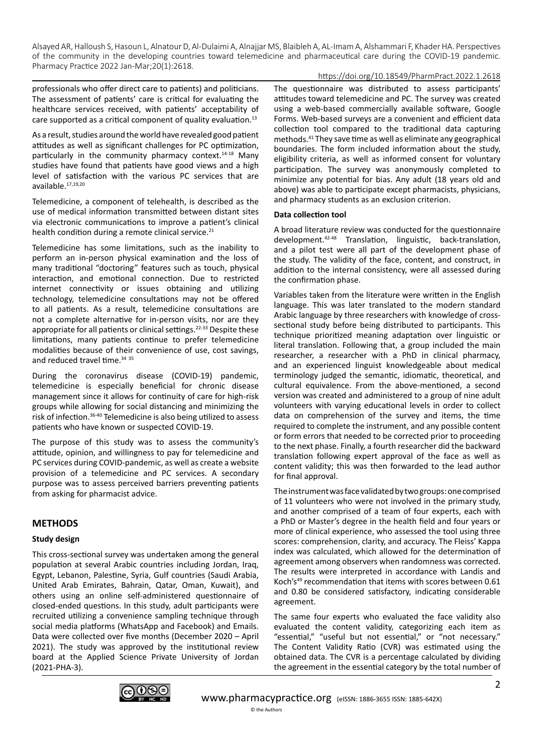## https://doi.org/10.18549/PharmPract.2022.1.2618

professionals who offer direct care to patients) and politicians. The assessment of patients' care is critical for evaluating the healthcare services received, with patients' acceptability of care supported as a critical component of quality evaluation.13

As a result, studies around the world have revealed good patient attitudes as well as significant challenges for PC optimization, particularly in the community pharmacy context. $14-18$  Many studies have found that patients have good views and a high level of satisfaction with the various PC services that are available.17,19,20

Telemedicine, a component of telehealth, is described as the use of medical information transmitted between distant sites via electronic communications to improve a patient's clinical health condition during a remote clinical service.<sup>21</sup>

Telemedicine has some limitations, such as the inability to perform an in-person physical examination and the loss of many traditional "doctoring" features such as touch, physical interaction, and emotional connection. Due to restricted internet connectivity or issues obtaining and utilizing technology, telemedicine consultations may not be offered to all patients. As a result, telemedicine consultations are not a complete alternative for in-person visits, nor are they appropriate for all patients or clinical settings.<sup>22-33</sup> Despite these limitations, many patients continue to prefer telemedicine modalities because of their convenience of use, cost savings, and reduced travel time.<sup>34 35</sup>

During the coronavirus disease (COVID-19) pandemic, telemedicine is especially beneficial for chronic disease management since it allows for continuity of care for high-risk groups while allowing for social distancing and minimizing the risk of infection.36-40 Telemedicine is also being utilized to assess patients who have known or suspected COVID-19.

The purpose of this study was to assess the community's attitude, opinion, and willingness to pay for telemedicine and PC services during COVID-pandemic, as well as create a website provision of a telemedicine and PC services. A secondary purpose was to assess perceived barriers preventing patients from asking for pharmacist advice.

# **METHODS**

## **Study design**

This cross-sectional survey was undertaken among the general population at several Arabic countries including Jordan, Iraq, Egypt, Lebanon, Palestine, Syria, Gulf countries (Saudi Arabia, United Arab Emirates, Bahrain, Qatar, Oman, Kuwait), and others using an online self-administered questionnaire of closed-ended questions. In this study, adult participants were recruited utilizing a convenience sampling technique through social media platforms (WhatsApp and Facebook) and Emails. Data were collected over five months (December 2020 – April 2021). The study was approved by the institutional review board at the Applied Science Private University of Jordan (2021-PHA-3).

The questionnaire was distributed to assess participants' attitudes toward telemedicine and PC. The survey was created using a web-based commercially available software, Google Forms. Web-based surveys are a convenient and efficient data collection tool compared to the traditional data capturing methods.41 They save time as well as eliminate any geographical boundaries. The form included information about the study, eligibility criteria, as well as informed consent for voluntary participation. The survey was anonymously completed to minimize any potential for bias. Any adult (18 years old and above) was able to participate except pharmacists, physicians, and pharmacy students as an exclusion criterion.

## **Data collection tool**

A broad literature review was conducted for the questionnaire development.42-48 Translation, linguistic, back-translation, and a pilot test were all part of the development phase of the study. The validity of the face, content, and construct, in addition to the internal consistency, were all assessed during the confirmation phase.

Variables taken from the literature were written in the English language. This was later translated to the modern standard Arabic language by three researchers with knowledge of crosssectional study before being distributed to participants. This technique prioritized meaning adaptation over linguistic or literal translation. Following that, a group included the main researcher, a researcher with a PhD in clinical pharmacy, and an experienced linguist knowledgeable about medical terminology judged the semantic, idiomatic, theoretical, and cultural equivalence. From the above-mentioned, a second version was created and administered to a group of nine adult volunteers with varying educational levels in order to collect data on comprehension of the survey and items, the time required to complete the instrument, and any possible content or form errors that needed to be corrected prior to proceeding to the next phase. Finally, a fourth researcher did the backward translation following expert approval of the face as well as content validity; this was then forwarded to the lead author for final approval.

The instrument was face validated by two groups: one comprised of 11 volunteers who were not involved in the primary study, and another comprised of a team of four experts, each with a PhD or Master's degree in the health field and four years or more of clinical experience, who assessed the tool using three scores: comprehension, clarity, and accuracy. The Fleiss' Kappa index was calculated, which allowed for the determination of agreement among observers when randomness was corrected. The results were interpreted in accordance with Landis and Koch's<sup>49</sup> recommendation that items with scores between 0.61 and 0.80 be considered satisfactory, indicating considerable agreement.

The same four experts who evaluated the face validity also evaluated the content validity, categorizing each item as "essential," "useful but not essential," or "not necessary." The Content Validity Ratio (CVR) was estimated using the obtained data. The CVR is a percentage calculated by dividing the agreement in the essential category by the total number of

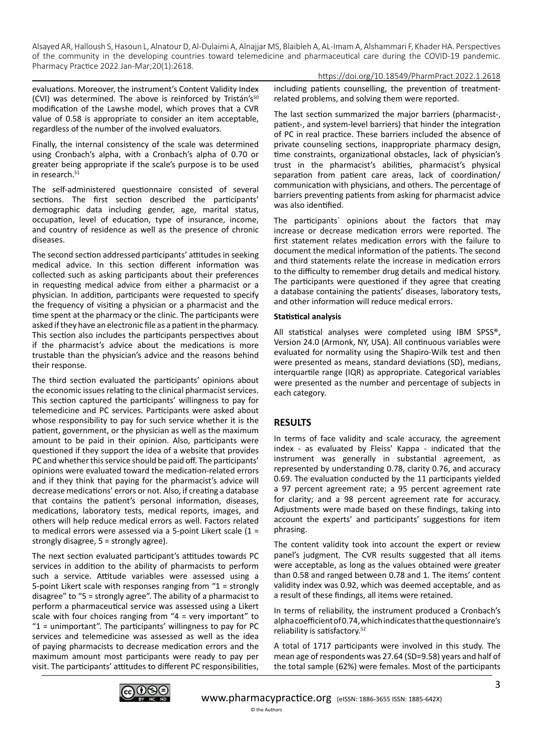https://doi.org/10.18549/PharmPract.2022.1.2618

evaluations. Moreover, the instrument's Content Validity Index (CVI) was determined. The above is reinforced by Tristán's $50$ modification of the Lawshe model, which proves that a CVR value of 0.58 is appropriate to consider an item acceptable, regardless of the number of the involved evaluators.

Finally, the internal consistency of the scale was determined using Cronbach's alpha, with a Cronbach's alpha of 0.70 or greater being appropriate if the scale's purpose is to be used in research.<sup>51</sup>

The self-administered questionnaire consisted of several sections. The first section described the participants' demographic data including gender, age, marital status, occupation, level of education, type of insurance, income, and country of residence as well as the presence of chronic diseases.

The second section addressed participants' attitudes in seeking medical advice. In this section different information was collected such as asking participants about their preferences in requesting medical advice from either a pharmacist or a physician. In addition, participants were requested to specify the frequency of visiting a physician or a pharmacist and the time spent at the pharmacy or the clinic. The participants were asked if they have an electronic file as a patient in the pharmacy. This section also includes the participants perspectives about if the pharmacist's advice about the medications is more trustable than the physician's advice and the reasons behind their response.

The third section evaluated the participants' opinions about the economic issues relating to the clinical pharmacist services. This section captured the participants' willingness to pay for telemedicine and PC services. Participants were asked about whose responsibility to pay for such service whether it is the patient, government, or the physician as well as the maximum amount to be paid in their opinion. Also, participants were questioned if they support the idea of a website that provides PC and whether this service should be paid off. The participants' opinions were evaluated toward the medication-related errors and if they think that paying for the pharmacist's advice will decrease medications' errors or not. Also, if creating a database that contains the patient's personal information, diseases, medications, laboratory tests, medical reports, images, and others will help reduce medical errors as well. Factors related to medical errors were assessed via a 5-point Likert scale (1 = strongly disagree, 5 = strongly agree).

The next section evaluated participant's attitudes towards PC services in addition to the ability of pharmacists to perform such a service. Attitude variables were assessed using a 5-point Likert scale with responses ranging from "1 = strongly disagree" to "5 = strongly agree". The ability of a pharmacist to perform a pharmaceutical service was assessed using a Likert scale with four choices ranging from "4 = very important" to "1 = unimportant". The participants' willingness to pay for PC services and telemedicine was assessed as well as the idea of paying pharmacists to decrease medication errors and the maximum amount most participants were ready to pay per visit. The participants' attitudes to different PC responsibilities,

including patients counselling, the prevention of treatmentrelated problems, and solving them were reported.

The last section summarized the major barriers (pharmacist-, patient-, and system-level barriers) that hinder the integration of PC in real practice. These barriers included the absence of private counseling sections, inappropriate pharmacy design, time constraints, organizational obstacles, lack of physician's trust in the pharmacist's abilities, pharmacist's physical separation from patient care areas, lack of coordination/ communication with physicians, and others. The percentage of barriers preventing patients from asking for pharmacist advice was also identified.

The participants` opinions about the factors that may increase or decrease medication errors were reported. The first statement relates medication errors with the failure to document the medical information of the patients. The second and third statements relate the increase in medication errors to the difficulty to remember drug details and medical history. The participants were questioned if they agree that creating a database containing the patients' diseases, laboratory tests, and other information will reduce medical errors.

## **Statistical analysis**

All statistical analyses were completed using IBM SPSS®, Version 24.0 (Armonk, NY, USA). All continuous variables were evaluated for normality using the Shapiro-Wilk test and then were presented as means, standard deviations (SD), medians, interquartile range (IQR) as appropriate. Categorical variables were presented as the number and percentage of subjects in each category.

# **RESULTS**

In terms of face validity and scale accuracy, the agreement index - as evaluated by Fleiss' Kappa - indicated that the instrument was generally in substantial agreement, as represented by understanding 0.78, clarity 0.76, and accuracy 0.69. The evaluation conducted by the 11 participants yielded a 97 percent agreement rate; a 95 percent agreement rate for clarity; and a 98 percent agreement rate for accuracy. Adjustments were made based on these findings, taking into account the experts' and participants' suggestions for item phrasing.

The content validity took into account the expert or review panel's judgment. The CVR results suggested that all items were acceptable, as long as the values obtained were greater than 0.58 and ranged between 0.78 and 1. The items' content validity index was 0.92, which was deemed acceptable, and as a result of these findings, all items were retained.

In terms of reliability, the instrument produced a Cronbach's alpha coefficient of 0.74, which indicates that the questionnaire's reliability is satisfactory.52

A total of 1717 participants were involved in this study. The mean age of respondents was 27.64 (SD=9.58) years and half of the total sample (62%) were females. Most of the participants

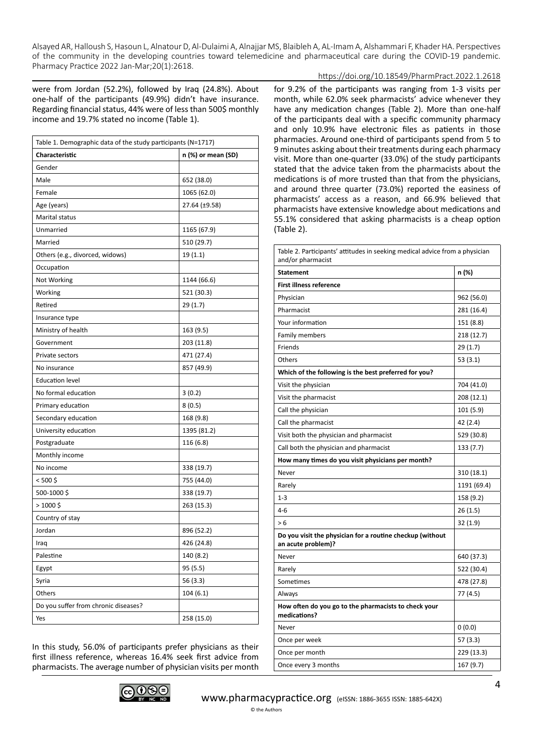### https://doi.org/10.18549/PharmPract.2022.1.2618

were from Jordan (52.2%), followed by Iraq (24.8%). About one-half of the participants (49.9%) didn't have insurance. Regarding financial status, 44% were of less than 500\$ monthly income and 19.7% stated no income (Table 1).

| Table 1. Demographic data of the study participants (N=1717) |                    |  |  |  |
|--------------------------------------------------------------|--------------------|--|--|--|
| <b>Characteristic</b>                                        | n (%) or mean (SD) |  |  |  |
| Gender                                                       |                    |  |  |  |
| Male                                                         | 652 (38.0)         |  |  |  |
| Female                                                       | 1065 (62.0)        |  |  |  |
| Age (years)                                                  | 27.64 (±9.58)      |  |  |  |
| Marital status                                               |                    |  |  |  |
| Unmarried                                                    | 1165 (67.9)        |  |  |  |
| Married                                                      | 510 (29.7)         |  |  |  |
| Others (e.g., divorced, widows)                              | 19(1.1)            |  |  |  |
| Occupation                                                   |                    |  |  |  |
| Not Working                                                  | 1144 (66.6)        |  |  |  |
| Working                                                      | 521 (30.3)         |  |  |  |
| Retired                                                      | 29(1.7)            |  |  |  |
| Insurance type                                               |                    |  |  |  |
| Ministry of health                                           | 163 (9.5)          |  |  |  |
| Government                                                   | 203 (11.8)         |  |  |  |
| Private sectors                                              | 471 (27.4)         |  |  |  |
| No insurance                                                 | 857 (49.9)         |  |  |  |
| <b>Education level</b>                                       |                    |  |  |  |
| No formal education                                          | 3(0.2)             |  |  |  |
| Primary education                                            | 8(0.5)             |  |  |  |
| Secondary education                                          | 168 (9.8)          |  |  |  |
| University education                                         | 1395 (81.2)        |  |  |  |
| Postgraduate                                                 | 116 (6.8)          |  |  |  |
| Monthly income                                               |                    |  |  |  |
| No income                                                    | 338 (19.7)         |  |  |  |
| < 500 \$                                                     | 755 (44.0)         |  |  |  |
| 500-1000\$                                                   | 338 (19.7)         |  |  |  |
| $>1000$ \$                                                   | 263 (15.3)         |  |  |  |
| Country of stay                                              |                    |  |  |  |
| Jordan                                                       | 896 (52.2)         |  |  |  |
| Iraq                                                         | 426 (24.8)         |  |  |  |
| Palestine                                                    | 140 (8.2)          |  |  |  |
| Egypt                                                        | 95 (5.5)           |  |  |  |
| Syria                                                        | 56 (3.3)           |  |  |  |
| Others                                                       | 104(6.1)           |  |  |  |
| Do you suffer from chronic diseases?                         |                    |  |  |  |
| Yes                                                          | 258 (15.0)         |  |  |  |
|                                                              |                    |  |  |  |

In this study, 56.0% of participants prefer physicians as their first illness reference, whereas 16.4% seek first advice from pharmacists. The average number of physician visits per month for 9.2% of the participants was ranging from 1-3 visits per month, while 62.0% seek pharmacists' advice whenever they have any medication changes (Table 2). More than one-half of the participants deal with a specific community pharmacy and only 10.9% have electronic files as patients in those pharmacies. Around one-third of participants spend from 5 to 9 minutes asking about their treatments during each pharmacy visit. More than one-quarter (33.0%) of the study participants stated that the advice taken from the pharmacists about the medications is of more trusted than that from the physicians, and around three quarter (73.0%) reported the easiness of pharmacists' access as a reason, and 66.9% believed that pharmacists have extensive knowledge about medications and 55.1% considered that asking pharmacists is a cheap option (Table 2).

| Table 2. Participants' attitudes in seeking medical advice from a physician<br>and/or pharmacist |             |  |  |  |
|--------------------------------------------------------------------------------------------------|-------------|--|--|--|
| <b>Statement</b>                                                                                 | n (%)       |  |  |  |
| <b>First illness reference</b>                                                                   |             |  |  |  |
| Physician                                                                                        | 962 (56.0)  |  |  |  |
| Pharmacist                                                                                       | 281 (16.4)  |  |  |  |
| Your information                                                                                 | 151 (8.8)   |  |  |  |
| <b>Family members</b>                                                                            | 218 (12.7)  |  |  |  |
| Friends                                                                                          | 29 (1.7)    |  |  |  |
| Others                                                                                           | 53(3.1)     |  |  |  |
| Which of the following is the best preferred for you?                                            |             |  |  |  |
| Visit the physician                                                                              | 704 (41.0)  |  |  |  |
| Visit the pharmacist                                                                             | 208 (12.1)  |  |  |  |
| Call the physician                                                                               | 101 (5.9)   |  |  |  |
| Call the pharmacist                                                                              | 42 (2.4)    |  |  |  |
| Visit both the physician and pharmacist                                                          | 529 (30.8)  |  |  |  |
| Call both the physician and pharmacist                                                           | 133 (7.7)   |  |  |  |
| How many times do you visit physicians per month?                                                |             |  |  |  |
| Never                                                                                            | 310 (18.1)  |  |  |  |
| Rarely                                                                                           | 1191 (69.4) |  |  |  |
| $1 - 3$                                                                                          | 158 (9.2)   |  |  |  |
| $4 - 6$                                                                                          | 26(1.5)     |  |  |  |
| > 6                                                                                              | 32 (1.9)    |  |  |  |
| Do you visit the physician for a routine checkup (without<br>an acute problem)?                  |             |  |  |  |
| Never                                                                                            | 640 (37.3)  |  |  |  |
| Rarely                                                                                           | 522 (30.4)  |  |  |  |
| Sometimes                                                                                        | 478 (27.8)  |  |  |  |
| Always                                                                                           | 77 (4.5)    |  |  |  |
| How often do you go to the pharmacists to check your<br>medications?                             |             |  |  |  |
| Never                                                                                            | 0(0.0)      |  |  |  |
| Once per week                                                                                    | 57 (3.3)    |  |  |  |
| Once per month                                                                                   | 229 (13.3)  |  |  |  |
| Once every 3 months                                                                              | 167 (9.7)   |  |  |  |

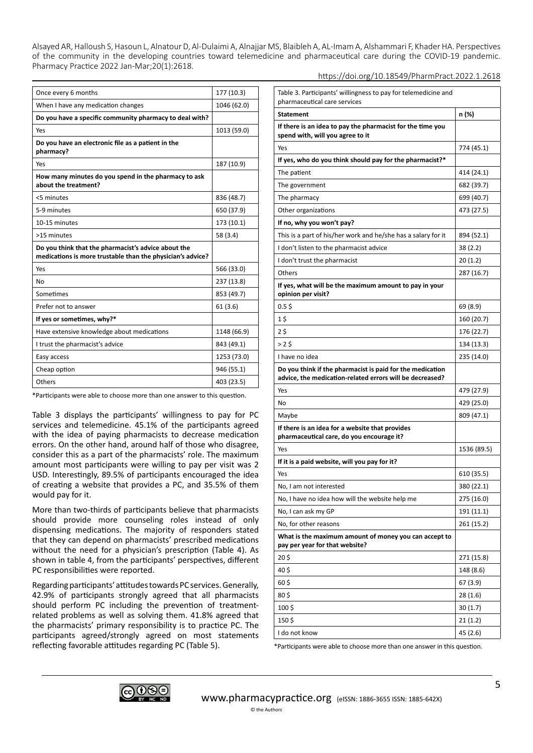| Once every 6 months                                                                                               | 177 (10.3)  |
|-------------------------------------------------------------------------------------------------------------------|-------------|
| When I have any medication changes                                                                                | 1046 (62.0) |
| Do you have a specific community pharmacy to deal with?                                                           |             |
| Yes                                                                                                               | 1013 (59.0) |
| Do you have an electronic file as a patient in the<br>pharmacy?                                                   |             |
| Yes                                                                                                               | 187 (10.9)  |
| How many minutes do you spend in the pharmacy to ask<br>about the treatment?                                      |             |
| <5 minutes                                                                                                        | 836 (48.7)  |
| 5-9 minutes                                                                                                       | 650 (37.9)  |
| 10-15 minutes                                                                                                     | 173 (10.1)  |
| >15 minutes                                                                                                       | 58 (3.4)    |
| Do you think that the pharmacist's advice about the<br>medications is more trustable than the physician's advice? |             |
| Yes                                                                                                               | 566 (33.0)  |
| No                                                                                                                | 237 (13.8)  |
| Sometimes                                                                                                         | 853 (49.7)  |
| Prefer not to answer                                                                                              | 61(3.6)     |
| If yes or sometimes, why?*                                                                                        |             |
| Have extensive knowledge about medications                                                                        | 1148 (66.9) |
| I trust the pharmacist's advice                                                                                   | 843 (49.1)  |
| Easy access                                                                                                       | 1253 (73.0) |
| Cheap option                                                                                                      | 946 (55.1)  |
| Others                                                                                                            | 403 (23.5)  |
|                                                                                                                   |             |

\*Participants were able to choose more than one answer to this question.

Table 3 displays the participants' willingness to pay for PC services and telemedicine. 45.1% of the participants agreed with the idea of paying pharmacists to decrease medication errors. On the other hand, around half of those who disagree, consider this as a part of the pharmacists' role. The maximum amount most participants were willing to pay per visit was 2 USD. Interestingly, 89.5% of participants encouraged the idea of creating a website that provides a PC, and 35.5% of them would pay for it.

More than two-thirds of participants believe that pharmacists should provide more counseling roles instead of only dispensing medications. The majority of responders stated that they can depend on pharmacists' prescribed medications without the need for a physician's prescription (Table 4). As shown in table 4, from the participants' perspectives, different PC responsibilities were reported.

Regarding participants' attitudes towards PC services. Generally, 42.9% of participants strongly agreed that all pharmacists should perform PC including the prevention of treatmentrelated problems as well as solving them. 41.8% agreed that the pharmacists' primary responsibility is to practice PC. The participants agreed/strongly agreed on most statements reflecting favorable attitudes regarding PC (Table 5).

| Table 3. Participants' willingness to pay for telemedicine and<br>pharmaceutical care services                        |             |
|-----------------------------------------------------------------------------------------------------------------------|-------------|
| <b>Statement</b>                                                                                                      | n (%)       |
| If there is an idea to pay the pharmacist for the time you<br>spend with, will you agree to it                        |             |
| Yes                                                                                                                   | 774 (45.1)  |
| If yes, who do you think should pay for the pharmacist?*                                                              |             |
| The patient                                                                                                           | 414 (24.1)  |
| The government                                                                                                        | 682 (39.7)  |
| The pharmacy                                                                                                          | 699 (40.7)  |
| Other organizations                                                                                                   | 473 (27.5)  |
| If no, why you won't pay?                                                                                             |             |
| This is a part of his/her work and he/she has a salary for it                                                         | 894 (52.1)  |
| I don't listen to the pharmacist advice                                                                               | 38 (2.2)    |
| I don't trust the pharmacist                                                                                          | 20(1.2)     |
| Others                                                                                                                | 287 (16.7)  |
| If yes, what will be the maximum amount to pay in your<br>opinion per visit?                                          |             |
| 0.5 <sub>5</sub>                                                                                                      | 69 (8.9)    |
| 1\$                                                                                                                   | 160 (20.7)  |
| 2\$                                                                                                                   | 176 (22.7)  |
| >25                                                                                                                   | 134 (13.3)  |
| I have no idea                                                                                                        | 235 (14.0)  |
| Do you think if the pharmacist is paid for the medication<br>advice, the medication-related errors will be decreased? |             |
| Yes                                                                                                                   | 479 (27.9)  |
| No                                                                                                                    | 429 (25.0)  |
| Maybe                                                                                                                 | 809 (47.1)  |
| If there is an idea for a website that provides<br>pharmaceutical care, do you encourage it?                          |             |
| Yes                                                                                                                   | 1536 (89.5) |
| If it is a paid website, will you pay for it?                                                                         |             |
| Yes                                                                                                                   | 610 (35.5)  |
| No, I am not interested                                                                                               | 380 (22.1)  |
| No, I have no idea how will the website help me                                                                       | 275 (16.0)  |
| No, I can ask my GP                                                                                                   | 191 (11.1)  |
| No, for other reasons                                                                                                 | 261 (15.2)  |
| What is the maximum amount of money you can accept to<br>pay per year for that website?                               |             |
| 20 <sub>5</sub>                                                                                                       | 271 (15.8)  |
| 40\$                                                                                                                  | 148 (8.6)   |
| $60\frac{1}{2}$                                                                                                       | 67 (3.9)    |
| 80\$                                                                                                                  | 28 (1.6)    |
| $100\frac{1}{2}$                                                                                                      | 30(1.7)     |
| 150\$                                                                                                                 | 21(1.2)     |
| I do not know                                                                                                         | 45 (2.6)    |

https://doi.org/10.18549/PharmPract.2022.1.2618

\*Participants were able to choose more than one answer in this question.

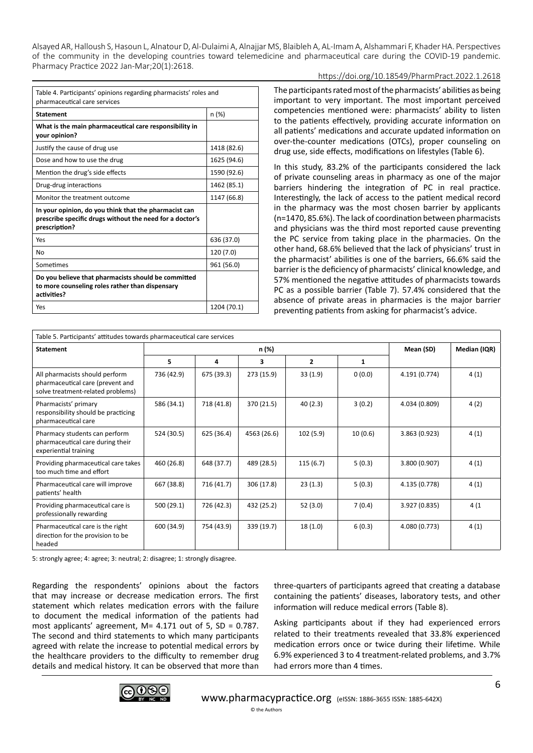#### https://doi.org/10.18549/PharmPract.2022.1.2618

| Table 4. Participants' opinions regarding pharmacists' roles and<br>pharmaceutical care services                                   |             |  |  |  |
|------------------------------------------------------------------------------------------------------------------------------------|-------------|--|--|--|
| <b>Statement</b>                                                                                                                   | n (%)       |  |  |  |
| What is the main pharmaceutical care responsibility in<br>your opinion?                                                            |             |  |  |  |
| Justify the cause of drug use                                                                                                      | 1418 (82.6) |  |  |  |
| Dose and how to use the drug                                                                                                       | 1625 (94.6) |  |  |  |
| Mention the drug's side effects                                                                                                    | 1590 (92.6) |  |  |  |
| Drug-drug interactions                                                                                                             | 1462 (85.1) |  |  |  |
| Monitor the treatment outcome                                                                                                      | 1147 (66.8) |  |  |  |
| In your opinion, do you think that the pharmacist can<br>prescribe specific drugs without the need for a doctor's<br>prescription? |             |  |  |  |
| Yes                                                                                                                                | 636 (37.0)  |  |  |  |
| No                                                                                                                                 | 120 (7.0)   |  |  |  |
| Sometimes                                                                                                                          | 961 (56.0)  |  |  |  |
| Do you believe that pharmacists should be committed<br>to more counseling roles rather than dispensary<br>activities?              |             |  |  |  |
| Yes                                                                                                                                | 1204 (70.1) |  |  |  |

The participants rated most of the pharmacists' abilities as being important to very important. The most important perceived competencies mentioned were: pharmacists' ability to listen to the patients effectively, providing accurate information on all patients' medications and accurate updated information on over-the-counter medications (OTCs), proper counseling on drug use, side effects, modifications on lifestyles (Table 6).

In this study, 83.2% of the participants considered the lack of private counseling areas in pharmacy as one of the major barriers hindering the integration of PC in real practice. Interestingly, the lack of access to the patient medical record in the pharmacy was the most chosen barrier by applicants (n=1470, 85.6%). The lack of coordination between pharmacists and physicians was the third most reported cause preventing the PC service from taking place in the pharmacies. On the other hand, 68.6% believed that the lack of physicians' trust in the pharmacist' abilities is one of the barriers, 66.6% said the barrier is the deficiency of pharmacists' clinical knowledge, and 57% mentioned the negative attitudes of pharmacists towards PC as a possible barrier (Table 7). 57.4% considered that the absence of private areas in pharmacies is the major barrier preventing patients from asking for pharmacist's advice.

| Table 5. Participants' attitudes towards pharmaceutical care services                                   |            |            |             |                |           |               |      |
|---------------------------------------------------------------------------------------------------------|------------|------------|-------------|----------------|-----------|---------------|------|
| n (%)<br><b>Statement</b>                                                                               |            |            |             |                | Mean (SD) | Median (IQR)  |      |
|                                                                                                         | 5          | 4          | 3           | $\overline{2}$ | 1         |               |      |
| All pharmacists should perform<br>pharmaceutical care (prevent and<br>solve treatment-related problems) | 736 (42.9) | 675 (39.3) | 273 (15.9)  | 33(1.9)        | 0(0.0)    | 4.191 (0.774) | 4(1) |
| Pharmacists' primary<br>responsibility should be practicing<br>pharmaceutical care                      | 586 (34.1) | 718 (41.8) | 370 (21.5)  | 40(2.3)        | 3(0.2)    | 4.034 (0.809) | 4(2) |
| Pharmacy students can perform<br>pharmaceutical care during their<br>experiential training              | 524 (30.5) | 625 (36.4) | 4563 (26.6) | 102(5.9)       | 10(0.6)   | 3.863 (0.923) | 4(1) |
| Providing pharmaceutical care takes<br>too much time and effort                                         | 460 (26.8) | 648 (37.7) | 489 (28.5)  | 115(6.7)       | 5(0.3)    | 3.800 (0.907) | 4(1) |
| Pharmaceutical care will improve<br>patients' health                                                    | 667 (38.8) | 716 (41.7) | 306 (17.8)  | 23(1.3)        | 5(0.3)    | 4.135 (0.778) | 4(1) |
| Providing pharmaceutical care is<br>professionally rewarding                                            | 500 (29.1) | 726 (42.3) | 432 (25.2)  | 52 (3.0)       | 7(0.4)    | 3.927 (0.835) | 4(1) |
| Pharmaceutical care is the right<br>direction for the provision to be<br>headed                         | 600 (34.9) | 754 (43.9) | 339 (19.7)  | 18(1.0)        | 6(0.3)    | 4.080 (0.773) | 4(1) |

5: strongly agree; 4: agree; 3: neutral; 2: disagree; 1: strongly disagree.

Regarding the respondents' opinions about the factors that may increase or decrease medication errors. The first statement which relates medication errors with the failure to document the medical information of the patients had most applicants' agreement, M= 4.171 out of 5, SD = 0.787. The second and third statements to which many participants agreed with relate the increase to potential medical errors by the healthcare providers to the difficulty to remember drug details and medical history. It can be observed that more than

three-quarters of participants agreed that creating a database containing the patients' diseases, laboratory tests, and other information will reduce medical errors (Table 8).

Asking participants about if they had experienced errors related to their treatments revealed that 33.8% experienced medication errors once or twice during their lifetime. While 6.9% experienced 3 to 4 treatment-related problems, and 3.7% had errors more than 4 times.

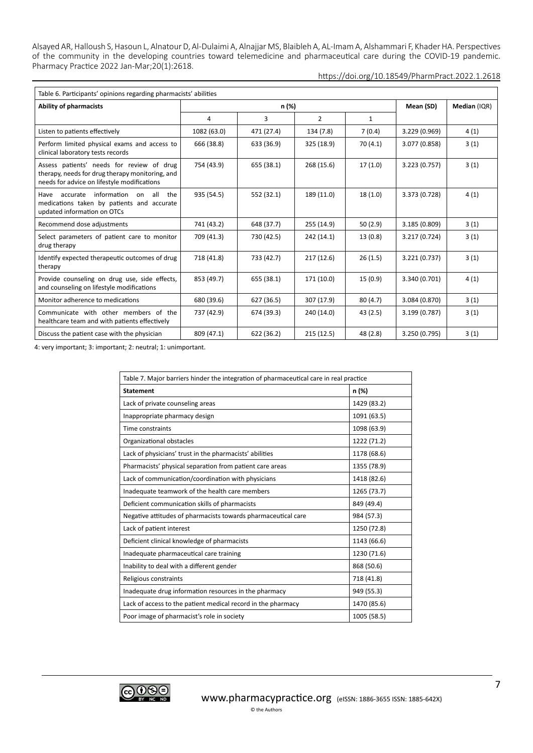https://doi.org/10.18549/PharmPract.2022.1.2618

| Table 6. Participants' opinions regarding pharmacists' abilities                                                                            |             |            |                |              |               |      |
|---------------------------------------------------------------------------------------------------------------------------------------------|-------------|------------|----------------|--------------|---------------|------|
| <b>Ability of pharmacists</b>                                                                                                               |             | n (%)      | Mean (SD)      | Median (IQR) |               |      |
|                                                                                                                                             | 4           | 3          | $\overline{2}$ | 1            |               |      |
| Listen to patients effectively                                                                                                              | 1082 (63.0) | 471 (27.4) | 134 (7.8)      | 7(0.4)       | 3.229 (0.969) | 4(1) |
| Perform limited physical exams and access to<br>clinical laboratory tests records                                                           | 666 (38.8)  | 633 (36.9) | 325 (18.9)     | 70(4.1)      | 3.077 (0.858) | 3(1) |
| Assess patients' needs for review of drug<br>therapy, needs for drug therapy monitoring, and<br>needs for advice on lifestyle modifications | 754 (43.9)  | 655 (38.1) | 268 (15.6)     | 17(1.0)      | 3.223 (0.757) | 3(1) |
| information<br>accurate<br>all<br>Have<br>the<br>on<br>medications taken by patients and accurate<br>updated information on OTCs            | 935 (54.5)  | 552 (32.1) | 189 (11.0)     | 18(1.0)      | 3.373 (0.728) | 4(1) |
| Recommend dose adjustments                                                                                                                  | 741 (43.2)  | 648 (37.7) | 255 (14.9)     | 50(2.9)      | 3.185 (0.809) | 3(1) |
| Select parameters of patient care to monitor<br>drug therapy                                                                                | 709 (41.3)  | 730 (42.5) | 242 (14.1)     | 13(0.8)      | 3.217 (0.724) | 3(1) |
| Identify expected therapeutic outcomes of drug<br>therapy                                                                                   | 718 (41.8)  | 733 (42.7) | 217(12.6)      | 26(1.5)      | 3.221 (0.737) | 3(1) |
| Provide counseling on drug use, side effects,<br>and counseling on lifestyle modifications                                                  | 853 (49.7)  | 655 (38.1) | 171 (10.0)     | 15(0.9)      | 3.340 (0.701) | 4(1) |
| Monitor adherence to medications                                                                                                            | 680 (39.6)  | 627 (36.5) | 307 (17.9)     | 80(4.7)      | 3.084 (0.870) | 3(1) |
| Communicate with other members of the<br>healthcare team and with patients effectively                                                      | 737 (42.9)  | 674 (39.3) | 240 (14.0)     | 43(2.5)      | 3.199 (0.787) | 3(1) |
| Discuss the patient case with the physician                                                                                                 | 809 (47.1)  | 622 (36.2) | 215(12.5)      | 48 (2.8)     | 3.250 (0.795) | 3(1) |

4: very important; 3: important; 2: neutral; 1: unimportant.

| Table 7. Major barriers hinder the integration of pharmaceutical care in real practice |             |  |  |  |
|----------------------------------------------------------------------------------------|-------------|--|--|--|
| <b>Statement</b><br>n (%)                                                              |             |  |  |  |
| Lack of private counseling areas                                                       | 1429 (83.2) |  |  |  |
| Inappropriate pharmacy design                                                          | 1091 (63.5) |  |  |  |
| Time constraints                                                                       | 1098 (63.9) |  |  |  |
| Organizational obstacles                                                               | 1222 (71.2) |  |  |  |
| Lack of physicians' trust in the pharmacists' abilities                                | 1178 (68.6) |  |  |  |
| Pharmacists' physical separation from patient care areas                               | 1355 (78.9) |  |  |  |
| Lack of communication/coordination with physicians                                     | 1418 (82.6) |  |  |  |
| Inadequate teamwork of the health care members                                         | 1265 (73.7) |  |  |  |
| Deficient communication skills of pharmacists                                          | 849 (49.4)  |  |  |  |
| Negative attitudes of pharmacists towards pharmaceutical care                          | 984 (57.3)  |  |  |  |
| Lack of patient interest                                                               | 1250 (72.8) |  |  |  |
| Deficient clinical knowledge of pharmacists                                            | 1143 (66.6) |  |  |  |
| Inadequate pharmaceutical care training                                                | 1230 (71.6) |  |  |  |
| Inability to deal with a different gender                                              | 868 (50.6)  |  |  |  |
| Religious constraints                                                                  | 718 (41.8)  |  |  |  |
| Inadequate drug information resources in the pharmacy                                  | 949 (55.3)  |  |  |  |
| Lack of access to the patient medical record in the pharmacy                           | 1470 (85.6) |  |  |  |
| Poor image of pharmacist's role in society                                             | 1005 (58.5) |  |  |  |

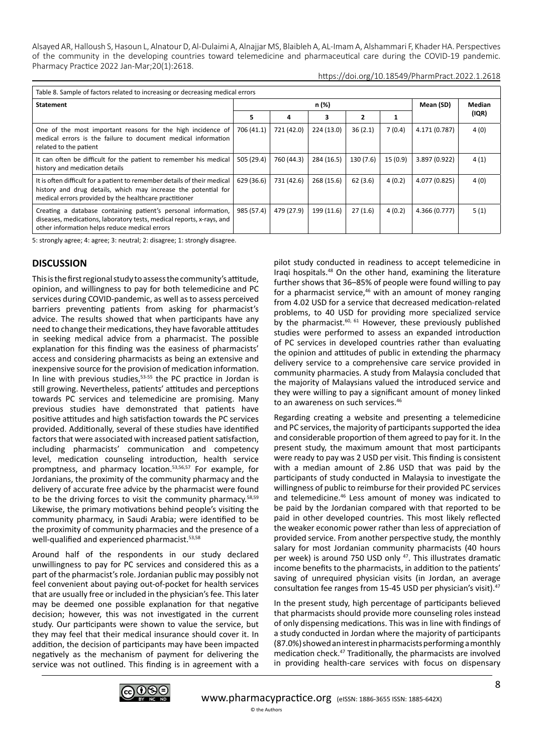https://doi.org/10.18549/PharmPract.2022.1.2618

| Table 8. Sample of factors related to increasing or decreasing medical errors                                                                                                                        |            |            |            |              |         |               |               |
|------------------------------------------------------------------------------------------------------------------------------------------------------------------------------------------------------|------------|------------|------------|--------------|---------|---------------|---------------|
| <b>Statement</b>                                                                                                                                                                                     |            | n (%)      |            |              |         | Mean (SD)     | <b>Median</b> |
|                                                                                                                                                                                                      | 5.         | 4          | з          | $\mathbf{2}$ |         |               | (IQR)         |
| One of the most important reasons for the high incidence of<br>medical errors is the failure to document medical information<br>related to the patient                                               | 706 (41.1) | 721 (42.0) | 224 (13.0) | 36(2.1)      | 7(0.4)  | 4.171 (0.787) | 4(0)          |
| It can often be difficult for the patient to remember his medical<br>history and medication details                                                                                                  | 505 (29.4) | 760 (44.3) | 284 (16.5) | 130 (7.6)    | 15(0.9) | 3.897 (0.922) | 4(1)          |
| It is often difficult for a patient to remember details of their medical<br>history and drug details, which may increase the potential for<br>medical errors provided by the healthcare practitioner | 629 (36.6) | 731 (42.6) | 268 (15.6) | 62(3.6)      | 4(0.2)  | 4.077 (0.825) | 4(0)          |
| Creating a database containing patient's personal information,<br>diseases, medications, laboratory tests, medical reports, x-rays, and<br>other information helps reduce medical errors             | 985 (57.4) | 479 (27.9) | 199 (11.6) | 27(1.6)      | 4(0.2)  | 4.366 (0.777) | 5(1)          |

5: strongly agree; 4: agree; 3: neutral; 2: disagree; 1: strongly disagree.

# **DISCUSSION**

This is the first regional study to assess the community's attitude, opinion, and willingness to pay for both telemedicine and PC services during COVID-pandemic, as well as to assess perceived barriers preventing patients from asking for pharmacist's advice. The results showed that when participants have any need to change their medications, they have favorable attitudes in seeking medical advice from a pharmacist. The possible explanation for this finding was the easiness of pharmacists' access and considering pharmacists as being an extensive and inexpensive source for the provision of medication information. In line with previous studies,<sup>53-55</sup> the PC practice in Jordan is still growing. Nevertheless, patients' attitudes and perceptions towards PC services and telemedicine are promising. Many previous studies have demonstrated that patients have positive attitudes and high satisfaction towards the PC services provided. Additionally, several of these studies have identified factors that were associated with increased patient satisfaction, including pharmacists' communication and competency level, medication counseling introduction, health service promptness, and pharmacy location.53,56,57 For example, for Jordanians, the proximity of the community pharmacy and the delivery of accurate free advice by the pharmacist were found to be the driving forces to visit the community pharmacy.58,59 Likewise, the primary motivations behind people's visiting the community pharmacy, in Saudi Arabia; were identified to be the proximity of community pharmacies and the presence of a well-qualified and experienced pharmacist.<sup>53,58</sup>

Around half of the respondents in our study declared unwillingness to pay for PC services and considered this as a part of the pharmacist's role. Jordanian public may possibly not feel convenient about paying out-of-pocket for health services that are usually free or included in the physician's fee. This later may be deemed one possible explanation for that negative decision; however, this was not investigated in the current study. Our participants were shown to value the service, but they may feel that their medical insurance should cover it. In addition, the decision of participants may have been impacted negatively as the mechanism of payment for delivering the service was not outlined. This finding is in agreement with a

pilot study conducted in readiness to accept telemedicine in Iraqi hospitals.48 On the other hand, examining the literature further shows that 36–85% of people were found willing to pay for a pharmacist service, $46$  with an amount of money ranging from 4.02 USD for a service that decreased medication-related problems, to 40 USD for providing more specialized service by the pharmacist.<sup>60, 61</sup> However, these previously published studies were performed to assess an expanded introduction of PC services in developed countries rather than evaluating the opinion and attitudes of public in extending the pharmacy delivery service to a comprehensive care service provided in community pharmacies. A study from Malaysia concluded that the majority of Malaysians valued the introduced service and they were willing to pay a significant amount of money linked to an awareness on such services.<sup>46</sup>

Regarding creating a website and presenting a telemedicine and PC services, the majority of participants supported the idea and considerable proportion of them agreed to pay for it. In the present study, the maximum amount that most participants were ready to pay was 2 USD per visit. This finding is consistent with a median amount of 2.86 USD that was paid by the participants of study conducted in Malaysia to investigate the willingness of public to reimburse for their provided PC services and telemedicine.<sup>46</sup> Less amount of money was indicated to be paid by the Jordanian compared with that reported to be paid in other developed countries. This most likely reflected the weaker economic power rather than less of appreciation of provided service. From another perspective study, the monthly salary for most Jordanian community pharmacists (40 hours per week) is around 750 USD only <sup>47</sup>. This illustrates dramatic income benefits to the pharmacists, in addition to the patients' saving of unrequired physician visits (in Jordan, an average consultation fee ranges from 15-45 USD per physician's visit).47

In the present study, high percentage of participants believed that pharmacists should provide more counseling roles instead of only dispensing medications. This was in line with findings of a study conducted in Jordan where the majority of participants (87.0%) showed an interest in pharmacists performing a monthly medication check.47 Traditionally, the pharmacists are involved in providing health-care services with focus on dispensary

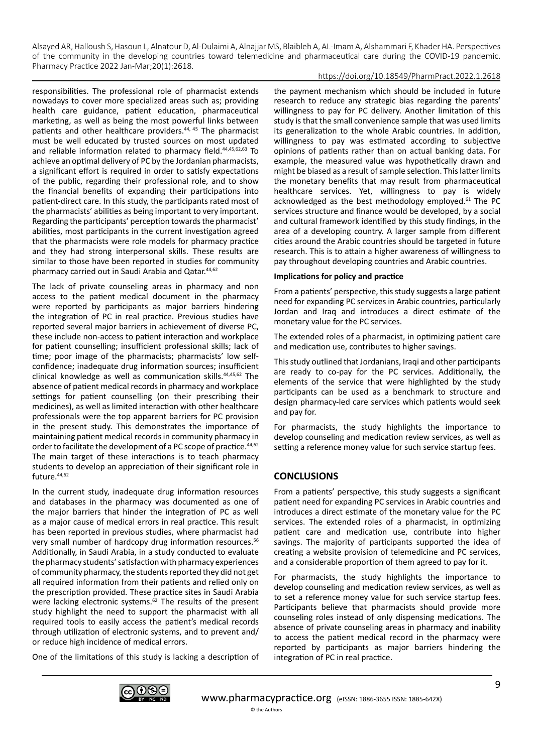### https://doi.org/10.18549/PharmPract.2022.1.2618

responsibilities. The professional role of pharmacist extends nowadays to cover more specialized areas such as; providing health care guidance, patient education, pharmaceutical marketing, as well as being the most powerful links between patients and other healthcare providers.<sup>44, 45</sup> The pharmacist must be well educated by trusted sources on most updated and reliable information related to pharmacy field.<sup>44,45,62,63</sup> To achieve an optimal delivery of PC by the Jordanian pharmacists, a significant effort is required in order to satisfy expectations of the public, regarding their professional role, and to show the financial benefits of expanding their participations into patient-direct care. In this study, the participants rated most of the pharmacists' abilities as being important to very important. Regarding the participants' perception towards the pharmacist' abilities, most participants in the current investigation agreed that the pharmacists were role models for pharmacy practice and they had strong interpersonal skills. These results are similar to those have been reported in studies for community pharmacy carried out in Saudi Arabia and Qatar.44,62

The lack of private counseling areas in pharmacy and non access to the patient medical document in the pharmacy were reported by participants as major barriers hindering the integration of PC in real practice. Previous studies have reported several major barriers in achievement of diverse PC, these include non-access to patient interaction and workplace for patient counselling; insufficient professional skills; lack of time; poor image of the pharmacists; pharmacists' low selfconfidence; inadequate drug information sources; insufficient clinical knowledge as well as communication skills.44,45,62 The absence of patient medical records in pharmacy and workplace settings for patient counselling (on their prescribing their medicines), as well as limited interaction with other healthcare professionals were the top apparent barriers for PC provision in the present study. This demonstrates the importance of maintaining patient medical records in community pharmacy in order to facilitate the development of a PC scope of practice.<sup>44,62</sup> The main target of these interactions is to teach pharmacy students to develop an appreciation of their significant role in future.44,62

In the current study, inadequate drug information resources and databases in the pharmacy was documented as one of the major barriers that hinder the integration of PC as well as a major cause of medical errors in real practice. This result has been reported in previous studies, where pharmacist had very small number of hardcopy drug information resources.<sup>56</sup> Additionally, in Saudi Arabia, in a study conducted to evaluate the pharmacy students' satisfaction with pharmacy experiences of community pharmacy, the students reported they did not get all required information from their patients and relied only on the prescription provided. These practice sites in Saudi Arabia were lacking electronic systems.<sup>62</sup> The results of the present study highlight the need to support the pharmacist with all required tools to easily access the patient's medical records through utilization of electronic systems, and to prevent and/ or reduce high incidence of medical errors.

One of the limitations of this study is lacking a description of

the payment mechanism which should be included in future research to reduce any strategic bias regarding the parents' willingness to pay for PC delivery. Another limitation of this study is that the small convenience sample that was used limits its generalization to the whole Arabic countries. In addition, willingness to pay was estimated according to subjective opinions of patients rather than on actual banking data. For example, the measured value was hypothetically drawn and might be biased as a result of sample selection. This latter limits the monetary benefits that may result from pharmaceutical healthcare services. Yet, willingness to pay is widely acknowledged as the best methodology employed.<sup>61</sup> The PC services structure and finance would be developed, by a social and cultural framework identified by this study findings, in the area of a developing country. A larger sample from different cities around the Arabic countries should be targeted in future research. This is to attain a higher awareness of willingness to pay throughout developing countries and Arabic countries.

#### **Implications for policy and practice**

From a patients' perspective, this study suggests a large patient need for expanding PC services in Arabic countries, particularly Jordan and Iraq and introduces a direct estimate of the monetary value for the PC services.

The extended roles of a pharmacist, in optimizing patient care and medication use, contributes to higher savings.

This study outlined that Jordanians, Iraqi and other participants are ready to co-pay for the PC services. Additionally, the elements of the service that were highlighted by the study participants can be used as a benchmark to structure and design pharmacy-led care services which patients would seek and pay for.

For pharmacists, the study highlights the importance to develop counseling and medication review services, as well as setting a reference money value for such service startup fees.

# **CONCLUSIONS**

From a patients' perspective, this study suggests a significant patient need for expanding PC services in Arabic countries and introduces a direct estimate of the monetary value for the PC services. The extended roles of a pharmacist, in optimizing patient care and medication use, contribute into higher savings. The majority of participants supported the idea of creating a website provision of telemedicine and PC services, and a considerable proportion of them agreed to pay for it.

For pharmacists, the study highlights the importance to develop counseling and medication review services, as well as to set a reference money value for such service startup fees. Participants believe that pharmacists should provide more counseling roles instead of only dispensing medications. The absence of private counseling areas in pharmacy and inability to access the patient medical record in the pharmacy were reported by participants as major barriers hindering the integration of PC in real practice.

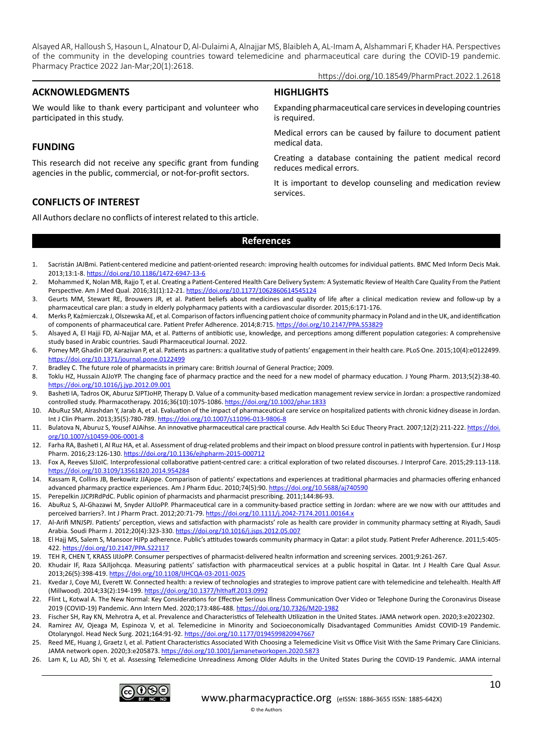**HIGHLIGHTS**

#### https://doi.org/10.18549/PharmPract.2022.1.2618

## **ACKNOWLEDGMENTS**

We would like to thank every participant and volunteer who participated in this study.

## **FUNDING**

This research did not receive any specific grant from funding agencies in the public, commercial, or not-for-profit sectors.

Expanding pharmaceutical care services in developing countries is required.

Medical errors can be caused by failure to document patient medical data.

Creating a database containing the patient medical record reduces medical errors.

It is important to develop counseling and medication review services.

# **CONFLICTS OF INTEREST**

All Authors declare no conflicts of interest related to this article.

#### **References**

- 1. Sacristán JAJBmi. Patient-centered medicine and patient-oriented research: improving health outcomes for individual patients. BMC Med Inform Decis Mak. 2013;13:1-8.<https://doi.org/10.1186/1472-6947-13-6>
- 2. Mohammed K, Nolan MB, Rajjo T, et al. Creating a Patient-Centered Health Care Delivery System: A Systematic Review of Health Care Quality From the Patient Perspective. Am J Med Qual. 2016;31(1):12-21.<https://doi.org/10.1177/1062860614545124>
- 3. Geurts MM, Stewart RE, Brouwers JR, et al. Patient beliefs about medicines and quality of life after a clinical medication review and follow-up by a pharmaceutical care plan: a study in elderly polypharmacy patients with a cardiovascular disorder. 2015;6:171-176.
- 4. Merks P, Kaźmierczak J, Olszewska AE, et al. Comparison of factors influencing patient choice of community pharmacy in Poland and in the UK, and identification of components of pharmaceutical care. Patient Prefer Adherence. 2014;8:715. <https://doi.org/10.2147/PPA.S53829>
- 5. Alsayed A, El Hajji FD, Al-Najjar MA, et al. Patterns of antibiotic use, knowledge, and perceptions among different population categories: A comprehensive study based in Arabic countries. Saudi Pharmaceutical Journal. 2022.
- 6. Pomey MP, Ghadiri DP, Karazivan P, et al. Patients as partners: a qualitative study of patients' engagement in their health care. PLoS One. 2015;10(4):e0122499. <https://doi.org/10.1371/journal.pone.0122499>
- 7. Bradley C. The future role of pharmacists in primary care: British Journal of General Practice; 2009.
- 8. Toklu HZ, Hussain AJJoYP. The changing face of pharmacy practice and the need for a new model of pharmacy education. J Young Pharm. 2013;5(2):38-40. <https://doi.org/10.1016/j.jyp.2012.09.001>
- 9. Basheti IA, Tadros OK, Aburuz SJPTJoHP, Therapy D. Value of a community-based medication management review service in Jordan: a prospective randomized controlled study. Pharmacotherapy. 2016;36(10):1075-1086.<https://doi.org/10.1002/phar.1833>
- 10. AbuRuz SM, Alrashdan Y, Jarab A, et al. Evaluation of the impact of pharmaceutical care service on hospitalized patients with chronic kidney disease in Jordan. Int J Clin Pharm. 2013;35(5):780-789.<https://doi.org/10.1007/s11096-013-9806-8>
- 11. Bulatova N, Aburuz S, Yousef AJAihse. An innovative pharmaceutical care practical course. Adv Health Sci Educ Theory Pract. 2007;12(2):211-222. [https://doi.](https://doi.org/10.1007/s10459-006-0001-8) [org/10.1007/s10459-006-0001-8](https://doi.org/10.1007/s10459-006-0001-8)
- 12. Farha RA, Basheti I, Al Ruz HA, et al. Assessment of drug-related problems and their impact on blood pressure control in patients with hypertension. Eur J Hosp Pharm. 2016;23:126-130.<https://doi.org/10.1136/ejhpharm-2015-000712>
- 13. Fox A, Reeves SJJoIC. Interprofessional collaborative patient-centred care: a critical exploration of two related discourses. J Interprof Care. 2015;29:113-118. <https://doi.org/10.3109/13561820.2014.954284>
- 14. Kassam R, Collins JB, Berkowitz JJAjope. Comparison of patients' expectations and experiences at traditional pharmacies and pharmacies offering enhanced advanced pharmacy practice experiences. Am J Pharm Educ. 2010;74(5):90. <https://doi.org/10.5688/aj740590>
- 15. Perepelkin JJCPJRdPdC. Public opinion of pharmacists and pharmacist prescribing. 2011;144:86-93.
- 16. AbuRuz S, Al‐Ghazawi M, Snyder AJIJoPP. Pharmaceutical care in a community‐based practice setting in Jordan: where are we now with our attitudes and perceived barriers?. Int J Pharm Pract. 2012;20:71-79.<https://doi.org/10.1111/j.2042-7174.2011.00164.x>
- 17. Al-Arifi MNJSPJ. Patients' perception, views and satisfaction with pharmacists' role as health care provider in community pharmacy setting at Riyadh, Saudi Arabia. Soudi Pharm J. 2012;20(4):323-330.<https://doi.org/10.1016/j.jsps.2012.05.007>
- 18. El Hajj MS, Salem S, Mansoor HJPp adherence. Public's attitudes towards community pharmacy in Qatar: a pilot study. Patient Prefer Adherence. 2011;5:405- 422. <https://doi.org/10.2147/PPA.S22117>
- 19. TEH R, CHEN T, KRASS IJIJoPP. Consumer perspectives of pharmacist‐delivered healtn information and screening services. 2001;9:261-267.
- 20. Khudair IF, Raza SAJIjohcqa. Measuring patients' satisfaction with pharmaceutical services at a public hospital in Qatar. Int J Health Care Qual Assur. 2013;26(5):398-419.<https://doi.org/10.1108/IJHCQA-03-2011-0025>
- 21. Kvedar J, Coye MJ, Everett W. Connected health: a review of technologies and strategies to improve patient care with telemedicine and telehealth. Health Aff (Millwood). 2014;33(2):194-199.<https://doi.org/10.1377/hlthaff.2013.0992>
- 22. Flint L, Kotwal A. The New Normal: Key Considerations for Effective Serious Illness Communication Over Video or Telephone During the Coronavirus Disease 2019 (COVID-19) Pandemic. Ann Intern Med. 2020;173:486-488.<https://doi.org/10.7326/M20-1982>
- 23. Fischer SH, Ray KN, Mehrotra A, et al. Prevalence and Characteristics of Telehealth Utilization in the United States. JAMA network open. 2020;3:e2022302.
- 24. Ramirez AV, Ojeaga M, Espinoza V, et al. Telemedicine in Minority and Socioeconomically Disadvantaged Communities Amidst COVID-19 Pandemic. Otolaryngol. Head Neck Surg. 2021;164:91-92.<https://doi.org/10.1177/0194599820947667>
- 25. Reed ME, Huang J, Graetz I, et al. Patient Characteristics Associated With Choosing a Telemedicine Visit vs Office Visit With the Same Primary Care Clinicians. JAMA network open. 2020;3:e205873.<https://doi.org/10.1001/jamanetworkopen.2020.5873>
- 26. Lam K, Lu AD, Shi Y, et al. Assessing Telemedicine Unreadiness Among Older Adults in the United States During the COVID-19 Pandemic. JAMA internal

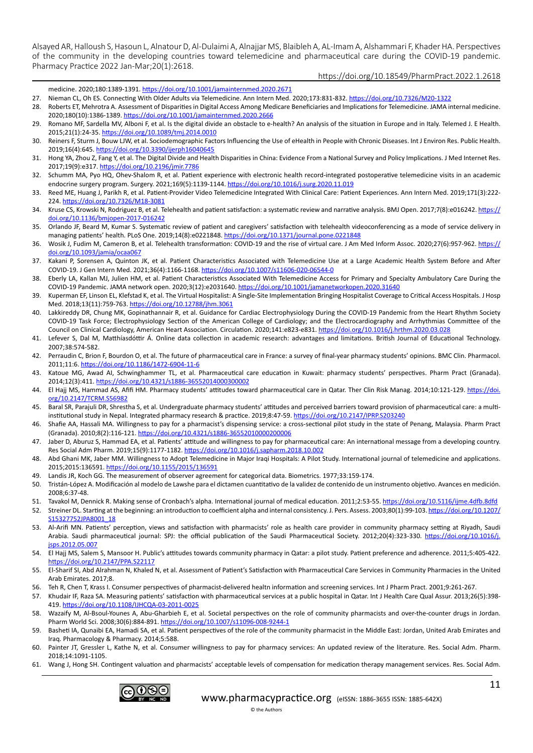### https://doi.org/10.18549/PharmPract.2022.1.2618

medicine. 2020;180:1389-1391.<https://doi.org/10.1001/jamainternmed.2020.2671>

- 27. Nieman CL, Oh ES. Connecting With Older Adults via Telemedicine. Ann Intern Med. 2020;173:831-832.<https://doi.org/10.7326/M20-1322>
- 28. Roberts ET, Mehrotra A. Assessment of Disparities in Digital Access Among Medicare Beneficiaries and Implications for Telemedicine. JAMA internal medicine. 2020;180(10):1386-1389.<https://doi.org/10.1001/jamainternmed.2020.2666>
- 29. Romano MF, Sardella MV, Alboni F, et al. Is the digital divide an obstacle to e-health? An analysis of the situation in Europe and in Italy. Telemed J. E Health. 2015;21(1):24-35. <https://doi.org/10.1089/tmj.2014.0010>
- 30. Reiners F, Sturm J, Bouw LJW, et al. Sociodemographic Factors Influencing the Use of eHealth in People with Chronic Diseases. Int J Environ Res. Public Health. 2019;16(4):645. https://doi.org/10.3390/ijerph1604064!
- 31. Hong YA, Zhou Z, Fang Y, et al. The Digital Divide and Health Disparities in China: Evidence From a National Survey and Policy Implications. J Med Internet Res. 2017;19(9):e317.<https://doi.org/10.2196/jmir.7786>
- 32. Schumm MA, Pyo HQ, Ohev-Shalom R, et al. Patient experience with electronic health record-integrated postoperative telemedicine visits in an academic endocrine surgery program. Surgery. 2021;169(5):1139-1144.<https://doi.org/10.1016/j.surg.2020.11.019>
- 33. Reed ME, Huang J, Parikh R, et al. Patient-Provider Video Telemedicine Integrated With Clinical Care: Patient Experiences. Ann Intern Med. 2019;171(3):222- 224. <https://doi.org/10.7326/M18-3081>
- 34. Kruse CS, Krowski N, Rodriguez B, et al. Telehealth and patient satisfaction: a systematic review and narrative analysis. BMJ Open. 2017;7(8):e016242. [https://](https://doi.org/10.1136/bmjopen-2017-016242) [doi.org/10.1136/bmjopen-2017-016242](https://doi.org/10.1136/bmjopen-2017-016242)
- 35. Orlando JF, Beard M, Kumar S. Systematic review of patient and caregivers' satisfaction with telehealth videoconferencing as a mode of service delivery in managing patients' health. PLoS One. 2019;14(8):e0221848. <https://doi.org/10.1371/journal.pone.0221848>
- 36. Wosik J, Fudim M, Cameron B, et al. Telehealth transformation: COVID-19 and the rise of virtual care. J Am Med Inform Assoc. 2020;27(6):957-962. [https://](https://doi.org/10.1093/jamia/ocaa067) [doi.org/10.1093/jamia/ocaa067](https://doi.org/10.1093/jamia/ocaa067)
- 37. Kakani P, Sorensen A, Quinton JK, et al. Patient Characteristics Associated with Telemedicine Use at a Large Academic Health System Before and After COVID-19. J Gen Intern Med. 2021;36(4):1166-1168.<https://doi.org/10.1007/s11606-020-06544-0>
- 38. Eberly LA, Kallan MJ, Julien HM, et al. Patient Characteristics Associated With Telemedicine Access for Primary and Specialty Ambulatory Care During the COVID-19 Pandemic. JAMA network open. 2020;3(12):e2031640.<https://doi.org/10.1001/jamanetworkopen.2020.31640>
- 39. Kuperman EF, Linson EL, Klefstad K, et al. The Virtual Hospitalist: A Single-Site Implementation Bringing Hospitalist Coverage to Critical Access Hospitals. J Hosp Med. 2018;13(11):759-763.<https://doi.org/10.12788/jhm.3061>
- 40. Lakkireddy DR, Chung MK, Gopinathannair R, et al. Guidance for Cardiac Electrophysiology During the COVID-19 Pandemic from the Heart Rhythm Society COVID-19 Task Force; Electrophysiology Section of the American College of Cardiology; and the Electrocardiography and Arrhythmias Committee of the Council on Clinical Cardiology, American Heart Association. Circulation. 2020;141:e823-e831. <https://doi.org/10.1016/j.hrthm.2020.03.028>
- 41. Lefever S, Dal M, Matthíasdóttir Á. Online data collection in academic research: advantages and limitations. British Journal of Educational Technology. 2007;38:574-582.
- 42. Perraudin C, Brion F, Bourdon O, et al. The future of pharmaceutical care in France: a survey of final-year pharmacy students' opinions. BMC Clin. Pharmacol. 2011;11:6.<https://doi.org/10.1186/1472-6904-11-6>
- 43. Katoue MG, Awad AI, Schwinghammer TL, et al. Pharmaceutical care education in Kuwait: pharmacy students' perspectives. Pharm Pract (Granada). 2014;12(3):411. <https://doi.org/10.4321/s1886-36552014000300002>
- 44. El Hajj MS, Hammad AS, Afifi HM. Pharmacy students' attitudes toward pharmaceutical care in Qatar. Ther Clin Risk Manag. 2014;10:121-129. [https://doi.](https://doi.org/10.2147/TCRM.S56982) [org/10.2147/TCRM.S56982](https://doi.org/10.2147/TCRM.S56982)
- 45. Baral SR, Parajuli DR, Shrestha S, et al. Undergraduate pharmacy students' attitudes and perceived barriers toward provision of pharmaceutical care: a multiinstitutional study in Nepal. Integrated pharmacy research & practice. 2019;8:47-59.<https://doi.org/10.2147/IPRP.S203240>
- 46. Shafie AA, Hassali MA. Willingness to pay for a pharmacist's dispensing service: a cross-sectional pilot study in the state of Penang, Malaysia. Pharm Pract (Granada). 2010;8(2):116-121.<https://doi.org/10.4321/s1886-36552010000200006>
- 47. Jaber D, Aburuz S, Hammad EA, et al. Patients' attitude and willingness to pay for pharmaceutical care: An international message from a developing country. Res Social Adm Pharm. 2019;15(9):1177-1182.<https://doi.org/10.1016/j.sapharm.2018.10.002>
- 48. Abd Ghani MK, Jaber MM. Willingness to Adopt Telemedicine in Major Iraqi Hospitals: A Pilot Study. International journal of telemedicine and applications. 2015;2015:136591. <https://doi.org/10.1155/2015/136591>
- 49. Landis JR, Koch GG. The measurement of observer agreement for categorical data. Biometrics. 1977;33:159-174.
- 50. Tristán-López A. Modificación al modelo de Lawshe para el dictamen cuantitativo de la validez de contenido de un instrumento objetivo. Avances en medición. 2008;6:37-48.
- 51. Tavakol M, Dennick R. Making sense of Cronbach's alpha. International journal of medical education. 2011;2:53-55. <https://doi.org/10.5116/ijme.4dfb.8dfd>
- 52. Streiner DL. Starting at the beginning: an introduction to coefficient alpha and internal consistency. J. Pers. Assess. 2003;80(1):99-103. [https://doi.org/10.1207/](https://doi.org/10.1207/S15327752JPA8001_18) [S15327752JPA8001\\_18](https://doi.org/10.1207/S15327752JPA8001_18)
- 53. Al-Arifi MN. Patients' perception, views and satisfaction with pharmacists' role as health care provider in community pharmacy setting at Riyadh, Saudi Arabia. Saudi pharmaceutical journal: SPJ: the official publication of the Saudi Pharmaceutical Society. 2012;20(4):323-330. [https://doi.org/10.1016/j.](https://doi.org/10.1016/j.jsps.2012.05.007) [jsps.2012.05.007](https://doi.org/10.1016/j.jsps.2012.05.007)
- 54. El Hajj MS, Salem S, Mansoor H. Public's attitudes towards community pharmacy in Qatar: a pilot study. Patient preference and adherence. 2011;5:405-422. <https://doi.org/10.2147/PPA.S22117>
- 55. El‑Sharif SI, Abd Alrahman N, Khaled N, et al. Assessment of Patient's Satisfaction with Pharmaceutical Care Services in Community Pharmacies in the United Arab Emirates. 2017;8.
- 56. Teh R, Chen T, Krass I. Consumer perspectives of pharmacist‐delivered healtn information and screening services. Int J Pharm Pract. 2001;9:261-267.
- 57. Khudair IF, Raza SA. Measuring patients' satisfaction with pharmaceutical services at a public hospital in Qatar. Int J Health Care Qual Assur. 2013;26(5):398- 419. <https://doi.org/10.1108/IJHCQA-03-2011-0025>
- 58. Wazaify M, Al-Bsoul-Younes A, Abu-Gharbieh E, et al. Societal perspectives on the role of community pharmacists and over-the-counter drugs in Jordan. Pharm World Sci. 2008;30(6):884-891. <https://doi.org/10.1007/s11096-008-9244-1>
- 59. Basheti IA, Qunaibi EA, Hamadi SA, et al. Patient perspectives of the role of the community pharmacist in the Middle East: Jordan, United Arab Emirates and Iraq. Pharmacology & Pharmacy. 2014;5:588.
- 60. Painter JT, Gressler L, Kathe N, et al. Consumer willingness to pay for pharmacy services: An updated review of the literature. Res. Social Adm. Pharm. 2018;14:1091-1105.
- 61. Wang J, Hong SH. Contingent valuation and pharmacists' acceptable levels of compensation for medication therapy management services. Res. Social Adm.